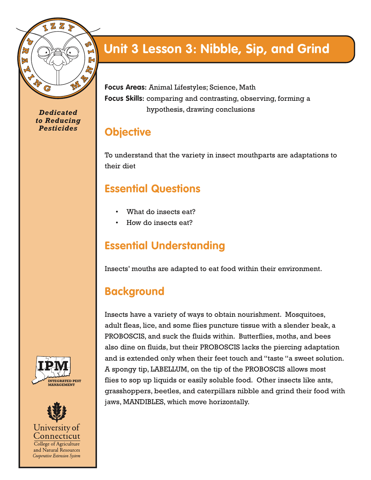

*Dedicated to Reducing Pesticides*

## **Unit 3 Lesson 3: Nibble, Sip, and Grind**

**Focus Areas:** Animal Lifestyles; Science, Math **Focus Skills:** comparing and contrasting, observing, forming a hypothesis, drawing conclusions

### **Objective**

To understand that the variety in insect mouthparts are adaptations to their diet

### **Essential Questions**

- What do insects eat?
- How do insects eat?

#### **Essential Understanding**

Insects' mouths are adapted to eat food within their environment.

### **Background**

Insects have a variety of ways to obtain nourishment. Mosquitoes, adult fleas, lice, and some flies puncture tissue with a slender beak, a PROBOSCIS, and suck the fluids within. Butterflies, moths, and bees also dine on fluids, but their PROBOSCIS lacks the piercing adaptation and is extended only when their feet touch and "taste "a sweet solution. A spongy tip, LABELLUM, on the tip of the PROBOSCIS allows most flies to sop up liquids or easily soluble food. Other insects like ants, grasshoppers, beetles, and caterpillars nibble and grind their food with jaws, MANDIBLES, which move horizontally.



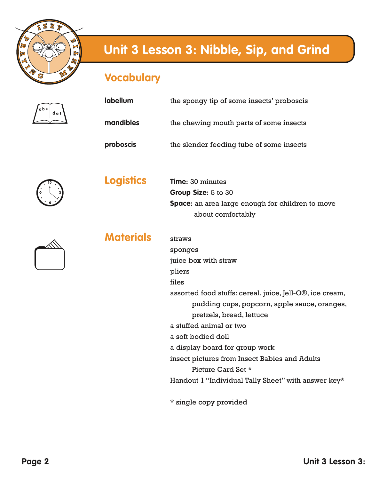

#### **Vocabulary**

| a b c |     |
|-------|-----|
|       | def |
|       |     |

**12**

**9**

**6**

**3**

| <b>TUCUMUNITY</b> |                                                                       |
|-------------------|-----------------------------------------------------------------------|
| labellum          | the spongy tip of some insects' proboscis                             |
| mandibles         | the chewing mouth parts of some insects                               |
| proboscis         | the slender feeding tube of some insects                              |
| <b>Logistics</b>  | <b>Time: 30 minutes</b>                                               |
|                   |                                                                       |
|                   | Group Size: 5 to 30                                                   |
|                   | Space: an area large enough for children to move<br>about comfortably |
|                   |                                                                       |
| Materials         | straws                                                                |
|                   | sponges                                                               |
|                   | juice box with straw                                                  |
|                   | pliers                                                                |
|                   | files                                                                 |
|                   | assorted food stuffs: cereal, juice, Jell-O®, ice cream,              |
|                   | pudding cups, popcorn, apple sauce, oranges,                          |
|                   | pretzels, bread, lettuce                                              |
|                   | a stuffed animal or two                                               |
|                   | a soft bodied doll                                                    |
|                   | a display board for group work                                        |
|                   | insect pictures from Insect Babies and Adults                         |
|                   | Picture Card Set *                                                    |
|                   | Handout 1 "Individual Tally Sheet" with answer key*                   |
|                   |                                                                       |

\* single copy provided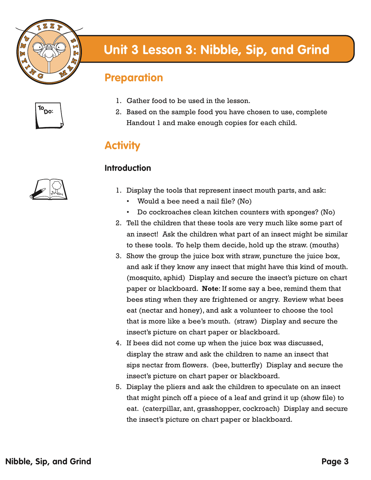

#### **Preparation**

**To Do:**



- 1. Gather food to be used in the lesson.
- 2. Based on the sample food you have chosen to use, complete Handout 1 and make enough copies for each child.

### **Activity**

#### **Introduction**

- 1. Display the tools that represent insect mouth parts, and ask:
	- Would a bee need a nail file? (No)
	- Do cockroaches clean kitchen counters with sponges? (No)
- 2. Tell the children that these tools are very much like some part of an insect! Ask the children what part of an insect might be similar to these tools. To help them decide, hold up the straw. (mouths)
- 3. Show the group the juice box with straw, puncture the juice box, and ask if they know any insect that might have this kind of mouth. (mosquito, aphid) Display and secure the insect's picture on chart paper or blackboard. **Note**: If some say a bee, remind them that bees sting when they are frightened or angry. Review what bees eat (nectar and honey), and ask a volunteer to choose the tool that is more like a bee's mouth. (straw) Display and secure the insect's picture on chart paper or blackboard.
- 4. If bees did not come up when the juice box was discussed, display the straw and ask the children to name an insect that sips nectar from flowers. (bee, butterfly) Display and secure the insect's picture on chart paper or blackboard.
- 5. Display the pliers and ask the children to speculate on an insect that might pinch off a piece of a leaf and grind it up (show file) to eat. (caterpillar, ant, grasshopper, cockroach) Display and secure the insect's picture on chart paper or blackboard.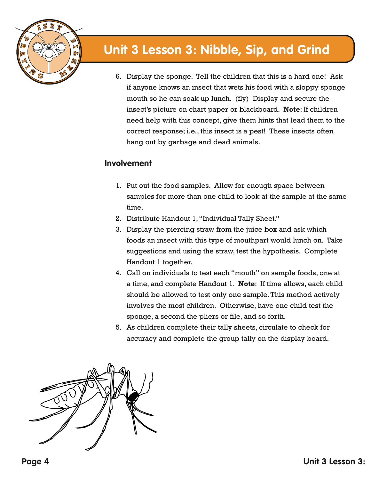

6. Display the sponge. Tell the children that this is a hard one! Ask if anyone knows an insect that wets his food with a sloppy sponge mouth so he can soak up lunch. (fly) Display and secure the insect's picture on chart paper or blackboard. **Note**: If children need help with this concept, give them hints that lead them to the correct response; i.e., this insect is a pest! These insects often hang out by garbage and dead animals.

#### **Involvement**

- 1. Put out the food samples. Allow for enough space between samples for more than one child to look at the sample at the same time.
- 2. Distribute Handout 1, "Individual Tally Sheet."
- 3. Display the piercing straw from the juice box and ask which foods an insect with this type of mouthpart would lunch on. Take suggestions and using the straw, test the hypothesis. Complete Handout 1 together.
- 4. Call on individuals to test each "mouth" on sample foods, one at a time, and complete Handout 1. **Note**: If time allows, each child should be allowed to test only one sample. This method actively involves the most children. Otherwise, have one child test the sponge, a second the pliers or file, and so forth.
- 5. As children complete their tally sheets, circulate to check for accuracy and complete the group tally on the display board.

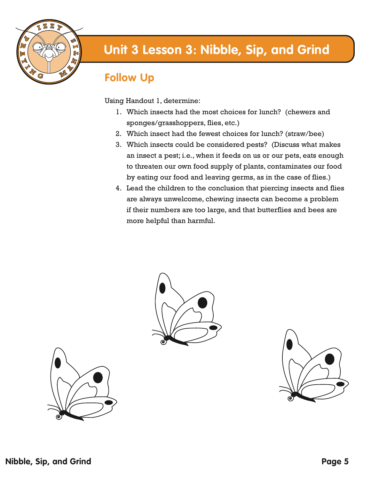

### **Follow Up**

Using Handout 1, determine:

- 1. Which insects had the most choices for lunch? (chewers and sponges/grasshoppers, flies, etc.)
- 2. Which insect had the fewest choices for lunch? (straw/bee)
- 3. Which insects could be considered pests? (Discuss what makes an insect a pest; i.e., when it feeds on us or our pets, eats enough to threaten our own food supply of plants, contaminates our food by eating our food and leaving germs, as in the case of flies.)
- 4. Lead the children to the conclusion that piercing insects and flies are always unwelcome, chewing insects can become a problem if their numbers are too large, and that butterflies and bees are more helpful than harmful.





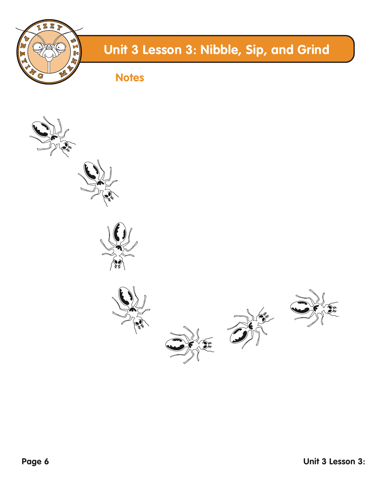

**Notes**

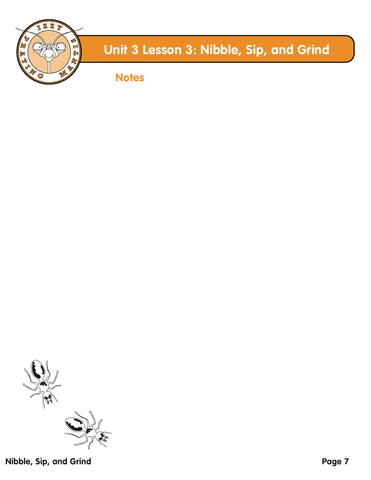

**Notes**



**Nibble, Sip, and Grind**